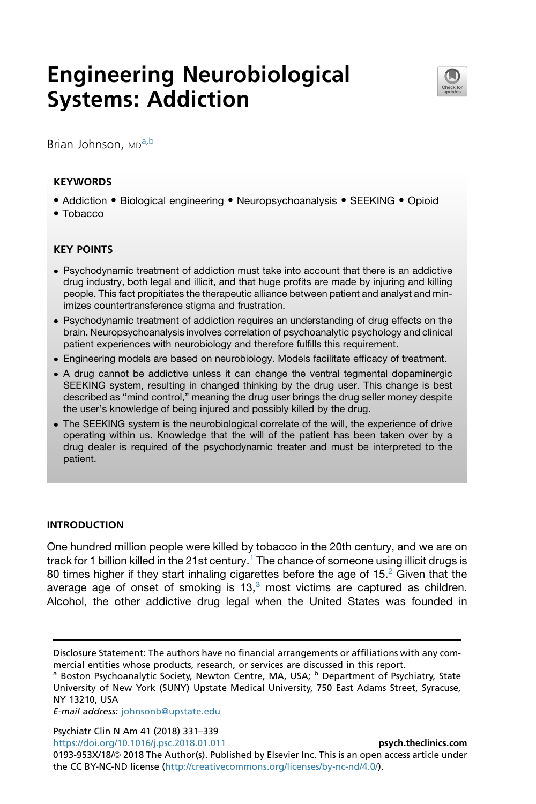# Engineering Neurobiological Systems: Addiction



Brian Johnson, MDa,b

## **KEYWORDS**

- Addiction Biological engineering Neuropsychoanalysis SEEKING Opioid
- Tobacco

## KEY POINTS

- Psychodynamic treatment of addiction must take into account that there is an addictive drug industry, both legal and illicit, and that huge profits are made by injuring and killing people. This fact propitiates the therapeutic alliance between patient and analyst and minimizes countertransference stigma and frustration.
- Psychodynamic treatment of addiction requires an understanding of drug effects on the brain. Neuropsychoanalysis involves correlation of psychoanalytic psychology and clinical patient experiences with neurobiology and therefore fulfills this requirement.
- Engineering models are based on neurobiology. Models facilitate efficacy of treatment.
- A drug cannot be addictive unless it can change the ventral tegmental dopaminergic SEEKING system, resulting in changed thinking by the drug user. This change is best described as "mind control," meaning the drug user brings the drug seller money despite the user's knowledge of being injured and possibly killed by the drug.
- The SEEKING system is the neurobiological correlate of the will, the experience of drive operating within us. Knowledge that the will of the patient has been taken over by a drug dealer is required of the psychodynamic treater and must be interpreted to the patient.

#### INTRODUCTION

One hundred million people were killed by tobacco in the 20th century, and we are on track for 1 billion killed in the 21st century.<sup>1</sup> The chance of someone using illicit drugs is 80 times higher if they start inhaling cigarettes before the age of  $15<sup>2</sup>$  $15<sup>2</sup>$  $15<sup>2</sup>$  Given that the average age of onset of smoking is  $13<sup>3</sup>$  $13<sup>3</sup>$  $13<sup>3</sup>$  most victims are captured as children. Alcohol, the other addictive drug legal when the United States was founded in

E-mail address: [johnsonb@upstate.edu](mailto:johnsonb@upstate.edu)

Psychiatr Clin N Am 41 (2018) 331–339

Disclosure Statement: The authors have no financial arrangements or affiliations with any commercial entities whose products, research, or services are discussed in this report.

<sup>&</sup>lt;sup>a</sup> Boston Psychoanalytic Society, Newton Centre, MA, USA; <sup>b</sup> Department of Psychiatry, State University of New York (SUNY) Upstate Medical University, 750 East Adams Street, Syracuse, NY 13210, USA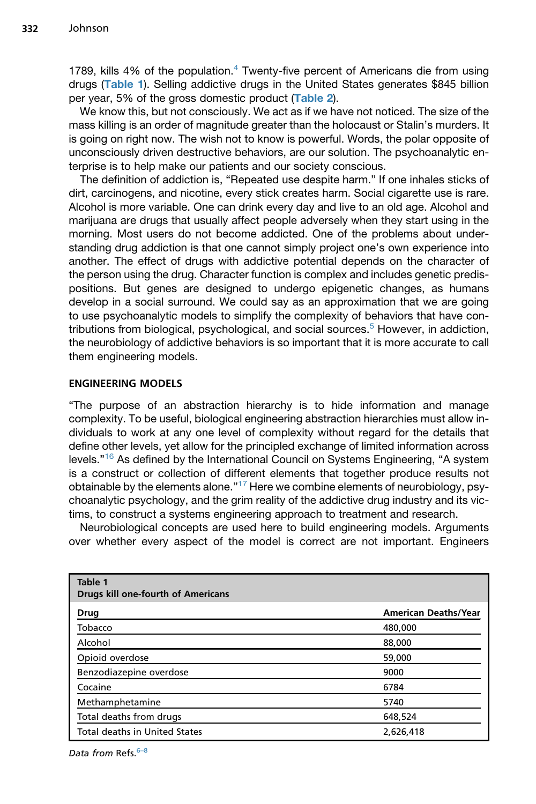1789, kills [4](#page-7-0)% of the population. $4\text{ Twenty-five percent of Americans die from using}$ drugs (Table 1). Selling addictive drugs in the United States generates \$845 billion per year, 5% of the gross domestic product ([Table 2](#page-2-0)).

We know this, but not consciously. We act as if we have not noticed. The size of the mass killing is an order of magnitude greater than the holocaust or Stalin's murders. It is going on right now. The wish not to know is powerful. Words, the polar opposite of unconsciously driven destructive behaviors, are our solution. The psychoanalytic enterprise is to help make our patients and our society conscious.

The definition of addiction is, "Repeated use despite harm." If one inhales sticks of dirt, carcinogens, and nicotine, every stick creates harm. Social cigarette use is rare. Alcohol is more variable. One can drink every day and live to an old age. Alcohol and marijuana are drugs that usually affect people adversely when they start using in the morning. Most users do not become addicted. One of the problems about understanding drug addiction is that one cannot simply project one's own experience into another. The effect of drugs with addictive potential depends on the character of the person using the drug. Character function is complex and includes genetic predispositions. But genes are designed to undergo epigenetic changes, as humans develop in a social surround. We could say as an approximation that we are going to use psychoanalytic models to simplify the complexity of behaviors that have con-tributions from biological, psychological, and social sources.<sup>[5](#page-7-0)</sup> However, in addiction, the neurobiology of addictive behaviors is so important that it is more accurate to call them engineering models.

## ENGINEERING MODELS

"The purpose of an abstraction hierarchy is to hide information and manage complexity. To be useful, biological engineering abstraction hierarchies must allow individuals to work at any one level of complexity without regard for the details that define other levels, yet allow for the principled exchange of limited information across levels. $<sup>n16</sup>$  $<sup>n16</sup>$  $<sup>n16</sup>$  As defined by the International Council on Systems Engineering, "A system</sup> is a construct or collection of different elements that together produce results not obtainable by the elements alone."<sup>[17](#page-7-0)</sup> Here we combine elements of neurobiology, psychoanalytic psychology, and the grim reality of the addictive drug industry and its victims, to construct a systems engineering approach to treatment and research.

Neurobiological concepts are used here to build engineering models. Arguments over whether every aspect of the model is correct are not important. Engineers

| Table 1<br>Drugs kill one-fourth of Americans |                             |
|-----------------------------------------------|-----------------------------|
| Drug                                          | <b>American Deaths/Year</b> |
| Tobacco                                       | 480,000                     |
| Alcohol                                       | 88,000                      |
| Opioid overdose                               | 59,000                      |
| Benzodiazepine overdose                       | 9000                        |
| Cocaine                                       | 6784                        |
| Methamphetamine                               | 5740                        |
| Total deaths from drugs                       | 648,524                     |
| Total deaths in United States                 | 2,626,418                   |

Data from Refs.<sup>6-8</sup>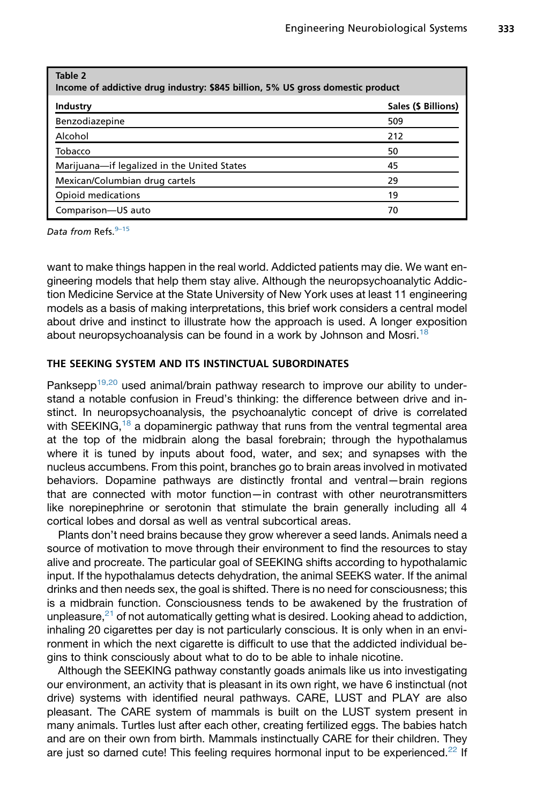<span id="page-2-0"></span>

| Table 2<br>Income of addictive drug industry: \$845 billion, 5% US gross domestic product |                     |
|-------------------------------------------------------------------------------------------|---------------------|
| Industry                                                                                  | Sales (\$ Billions) |
| Benzodiazepine                                                                            | 509                 |
| Alcohol                                                                                   | 212                 |
| Tobacco                                                                                   | 50                  |
| Marijuana—if legalized in the United States                                               | 45                  |
| Mexican/Columbian drug cartels                                                            | 29                  |
| Opioid medications                                                                        | 19                  |
| Comparison-US auto                                                                        | 70                  |

Data from Refs.<sup>9-15</sup>

want to make things happen in the real world. Addicted patients may die. We want engineering models that help them stay alive. Although the neuropsychoanalytic Addiction Medicine Service at the State University of New York uses at least 11 engineering models as a basis of making interpretations, this brief work considers a central model about drive and instinct to illustrate how the approach is used. A longer exposition about neuropsychoanalysis can be found in a work by Johnson and Mosri.<sup>[18](#page-7-0)</sup>

#### THE SEEKING SYSTEM AND ITS INSTINCTUAL SUBORDINATES

Panksepp<sup>[19,20](#page-7-0)</sup> used animal/brain pathway research to improve our ability to understand a notable confusion in Freud's thinking: the difference between drive and instinct. In neuropsychoanalysis, the psychoanalytic concept of drive is correlated with SEEKING,<sup>[18](#page-7-0)</sup> a dopaminergic pathway that runs from the ventral tegmental area at the top of the midbrain along the basal forebrain; through the hypothalamus where it is tuned by inputs about food, water, and sex; and synapses with the nucleus accumbens. From this point, branches go to brain areas involved in motivated behaviors. Dopamine pathways are distinctly frontal and ventral—brain regions that are connected with motor function—in contrast with other neurotransmitters like norepinephrine or serotonin that stimulate the brain generally including all 4 cortical lobes and dorsal as well as ventral subcortical areas.

Plants don't need brains because they grow wherever a seed lands. Animals need a source of motivation to move through their environment to find the resources to stay alive and procreate. The particular goal of SEEKING shifts according to hypothalamic input. If the hypothalamus detects dehydration, the animal SEEKS water. If the animal drinks and then needs sex, the goal is shifted. There is no need for consciousness; this is a midbrain function. Consciousness tends to be awakened by the frustration of unpleasure, $21$  of not automatically getting what is desired. Looking ahead to addiction, inhaling 20 cigarettes per day is not particularly conscious. It is only when in an environment in which the next cigarette is difficult to use that the addicted individual begins to think consciously about what to do to be able to inhale nicotine.

Although the SEEKING pathway constantly goads animals like us into investigating our environment, an activity that is pleasant in its own right, we have 6 instinctual (not drive) systems with identified neural pathways. CARE, LUST and PLAY are also pleasant. The CARE system of mammals is built on the LUST system present in many animals. Turtles lust after each other, creating fertilized eggs. The babies hatch and are on their own from birth. Mammals instinctually CARE for their children. They are just so darned cute! This feeling requires hormonal input to be experienced. $^{22}$  $^{22}$  $^{22}$  If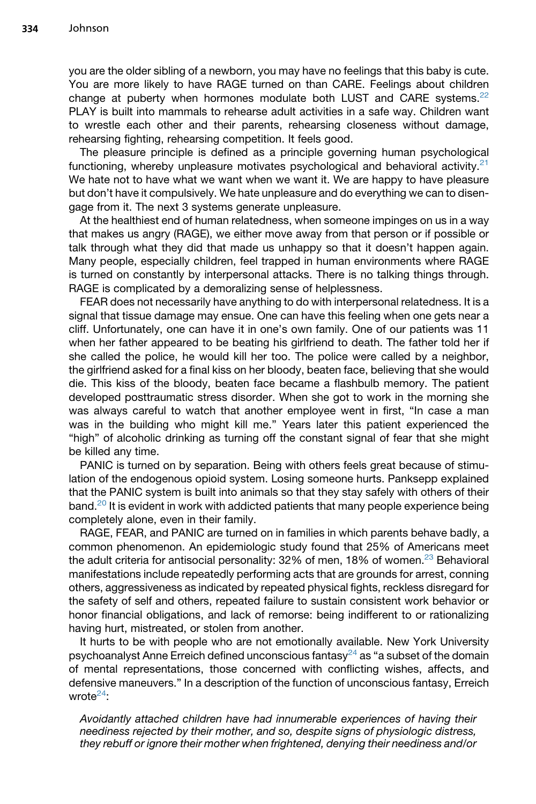you are the older sibling of a newborn, you may have no feelings that this baby is cute. You are more likely to have RAGE turned on than CARE. Feelings about children change at puberty when hormones modulate both LUST and CARE systems. $22$ PLAY is built into mammals to rehearse adult activities in a safe way. Children want to wrestle each other and their parents, rehearsing closeness without damage, rehearsing fighting, rehearsing competition. It feels good.

The pleasure principle is defined as a principle governing human psychological functioning, whereby unpleasure motivates psychological and behavioral activity. $21$ We hate not to have what we want when we want it. We are happy to have pleasure but don't have it compulsively. We hate unpleasure and do everything we can to disengage from it. The next 3 systems generate unpleasure.

At the healthiest end of human relatedness, when someone impinges on us in a way that makes us angry (RAGE), we either move away from that person or if possible or talk through what they did that made us unhappy so that it doesn't happen again. Many people, especially children, feel trapped in human environments where RAGE is turned on constantly by interpersonal attacks. There is no talking things through. RAGE is complicated by a demoralizing sense of helplessness.

FEAR does not necessarily have anything to do with interpersonal relatedness. It is a signal that tissue damage may ensue. One can have this feeling when one gets near a cliff. Unfortunately, one can have it in one's own family. One of our patients was 11 when her father appeared to be beating his girlfriend to death. The father told her if she called the police, he would kill her too. The police were called by a neighbor, the girlfriend asked for a final kiss on her bloody, beaten face, believing that she would die. This kiss of the bloody, beaten face became a flashbulb memory. The patient developed posttraumatic stress disorder. When she got to work in the morning she was always careful to watch that another employee went in first, "In case a man was in the building who might kill me." Years later this patient experienced the "high" of alcoholic drinking as turning off the constant signal of fear that she might be killed any time.

PANIC is turned on by separation. Being with others feels great because of stimulation of the endogenous opioid system. Losing someone hurts. Panksepp explained that the PANIC system is built into animals so that they stay safely with others of their band.<sup>[20](#page-7-0)</sup> It is evident in work with addicted patients that many people experience being completely alone, even in their family.

RAGE, FEAR, and PANIC are turned on in families in which parents behave badly, a common phenomenon. An epidemiologic study found that 25% of Americans meet the adult criteria for antisocial personality: 32% of men, 18% of women.<sup>[23](#page-7-0)</sup> Behavioral manifestations include repeatedly performing acts that are grounds for arrest, conning others, aggressiveness as indicated by repeated physical fights, reckless disregard for the safety of self and others, repeated failure to sustain consistent work behavior or honor financial obligations, and lack of remorse: being indifferent to or rationalizing having hurt, mistreated, or stolen from another.

It hurts to be with people who are not emotionally available. New York University psychoanalyst Anne Erreich defined unconscious fantasy<sup>[24](#page-7-0)</sup> as "a subset of the domain of mental representations, those concerned with conflicting wishes, affects, and defensive maneuvers." In a description of the function of unconscious fantasy, Erreich wrote $24$ :

*Avoidantly attached children have had innumerable experiences of having their neediness rejected by their mother, and so, despite signs of physiologic distress, they rebuff or ignore their mother when frightened, denying their neediness and/or*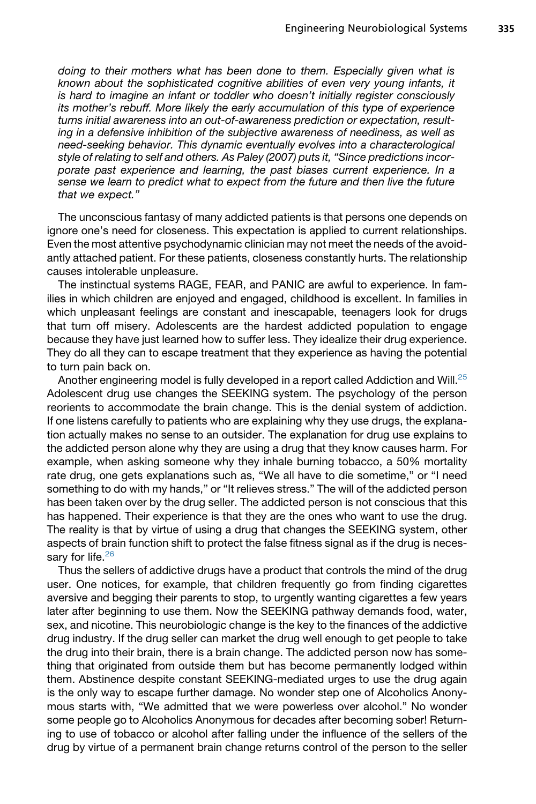*doing to their mothers what has been done to them. Especially given what is known about the sophisticated cognitive abilities of even very young infants, it is hard to imagine an infant or toddler who doesn't initially register consciously its mother's rebuff. More likely the early accumulation of this type of experience turns initial awareness into an out-of-awareness prediction or expectation, resulting in a defensive inhibition of the subjective awareness of neediness, as well as need-seeking behavior. This dynamic eventually evolves into a characterological style of relating to self and others. As Paley (2007) puts it, "Since predictions incorporate past experience and learning, the past biases current experience. In a sense we learn to predict what to expect from the future and then live the future that we expect."*

The unconscious fantasy of many addicted patients is that persons one depends on ignore one's need for closeness. This expectation is applied to current relationships. Even the most attentive psychodynamic clinician may not meet the needs of the avoidantly attached patient. For these patients, closeness constantly hurts. The relationship causes intolerable unpleasure.

The instinctual systems RAGE, FEAR, and PANIC are awful to experience. In families in which children are enjoyed and engaged, childhood is excellent. In families in which unpleasant feelings are constant and inescapable, teenagers look for drugs that turn off misery. Adolescents are the hardest addicted population to engage because they have just learned how to suffer less. They idealize their drug experience. They do all they can to escape treatment that they experience as having the potential to turn pain back on.

Another engineering model is fully developed in a report called Addiction and Will.<sup>25</sup> Adolescent drug use changes the SEEKING system. The psychology of the person reorients to accommodate the brain change. This is the denial system of addiction. If one listens carefully to patients who are explaining why they use drugs, the explanation actually makes no sense to an outsider. The explanation for drug use explains to the addicted person alone why they are using a drug that they know causes harm. For example, when asking someone why they inhale burning tobacco, a 50% mortality rate drug, one gets explanations such as, "We all have to die sometime," or "I need something to do with my hands," or "It relieves stress." The will of the addicted person has been taken over by the drug seller. The addicted person is not conscious that this has happened. Their experience is that they are the ones who want to use the drug. The reality is that by virtue of using a drug that changes the SEEKING system, other aspects of brain function shift to protect the false fitness signal as if the drug is neces-sary for life.<sup>[26](#page-8-0)</sup>

Thus the sellers of addictive drugs have a product that controls the mind of the drug user. One notices, for example, that children frequently go from finding cigarettes aversive and begging their parents to stop, to urgently wanting cigarettes a few years later after beginning to use them. Now the SEEKING pathway demands food, water, sex, and nicotine. This neurobiologic change is the key to the finances of the addictive drug industry. If the drug seller can market the drug well enough to get people to take the drug into their brain, there is a brain change. The addicted person now has something that originated from outside them but has become permanently lodged within them. Abstinence despite constant SEEKING-mediated urges to use the drug again is the only way to escape further damage. No wonder step one of Alcoholics Anonymous starts with, "We admitted that we were powerless over alcohol." No wonder some people go to Alcoholics Anonymous for decades after becoming sober! Returning to use of tobacco or alcohol after falling under the influence of the sellers of the drug by virtue of a permanent brain change returns control of the person to the seller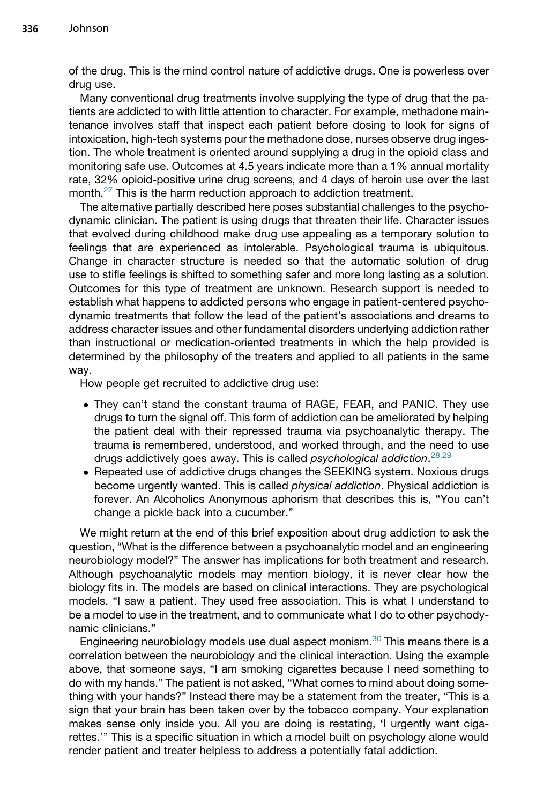of the drug. This is the mind control nature of addictive drugs. One is powerless over drug use.

Many conventional drug treatments involve supplying the type of drug that the patients are addicted to with little attention to character. For example, methadone maintenance involves staff that inspect each patient before dosing to look for signs of intoxication, high-tech systems pour the methadone dose, nurses observe drug ingestion. The whole treatment is oriented around supplying a drug in the opioid class and monitoring safe use. Outcomes at 4.5 years indicate more than a 1% annual mortality rate, 32% opioid-positive urine drug screens, and 4 days of heroin use over the last month.<sup>[27](#page-8-0)</sup> This is the harm reduction approach to addiction treatment.

The alternative partially described here poses substantial challenges to the psychodynamic clinician. The patient is using drugs that threaten their life. Character issues that evolved during childhood make drug use appealing as a temporary solution to feelings that are experienced as intolerable. Psychological trauma is ubiquitous. Change in character structure is needed so that the automatic solution of drug use to stifle feelings is shifted to something safer and more long lasting as a solution. Outcomes for this type of treatment are unknown. Research support is needed to establish what happens to addicted persons who engage in patient-centered psychodynamic treatments that follow the lead of the patient's associations and dreams to address character issues and other fundamental disorders underlying addiction rather than instructional or medication-oriented treatments in which the help provided is determined by the philosophy of the treaters and applied to all patients in the same way.

How people get recruited to addictive drug use:

- They can't stand the constant trauma of RAGE, FEAR, and PANIC. They use drugs to turn the signal off. This form of addiction can be ameliorated by helping the patient deal with their repressed trauma via psychoanalytic therapy. The trauma is remembered, understood, and worked through, and the need to use drugs addictively goes away. This is called *psychological addiction*. [28,29](#page-8-0)
- Repeated use of addictive drugs changes the SEEKING system. Noxious drugs become urgently wanted. This is called *physical addiction*. Physical addiction is forever. An Alcoholics Anonymous aphorism that describes this is, "You can't change a pickle back into a cucumber."

We might return at the end of this brief exposition about drug addiction to ask the question, "What is the difference between a psychoanalytic model and an engineering neurobiology model?" The answer has implications for both treatment and research. Although psychoanalytic models may mention biology, it is never clear how the biology fits in. The models are based on clinical interactions. They are psychological models. "I saw a patient. They used free association. This is what I understand to be a model to use in the treatment, and to communicate what I do to other psychodynamic clinicians."

Engineering neurobiology models use dual aspect monism.<sup>[30](#page-8-0)</sup> This means there is a correlation between the neurobiology and the clinical interaction. Using the example above, that someone says, "I am smoking cigarettes because I need something to do with my hands." The patient is not asked, "What comes to mind about doing something with your hands?" Instead there may be a statement from the treater, "This is a sign that your brain has been taken over by the tobacco company. Your explanation makes sense only inside you. All you are doing is restating, 'I urgently want cigarettes.'" This is a specific situation in which a model built on psychology alone would render patient and treater helpless to address a potentially fatal addiction.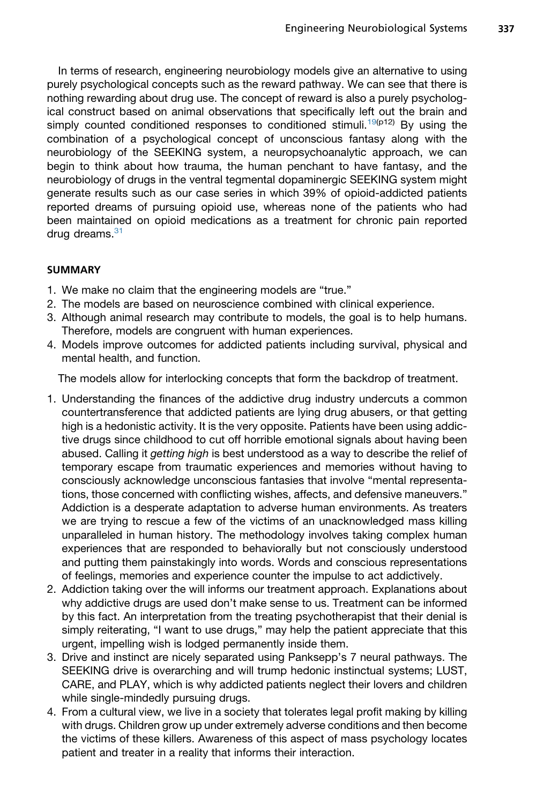In terms of research, engineering neurobiology models give an alternative to using purely psychological concepts such as the reward pathway. We can see that there is nothing rewarding about drug use. The concept of reward is also a purely psychological construct based on animal observations that specifically left out the brain and simply counted conditioned responses to conditioned stimuli.<sup>[19](#page-7-0)(p12)</sup> By using the combination of a psychological concept of unconscious fantasy along with the neurobiology of the SEEKING system, a neuropsychoanalytic approach, we can begin to think about how trauma, the human penchant to have fantasy, and the neurobiology of drugs in the ventral tegmental dopaminergic SEEKING system might generate results such as our case series in which 39% of opioid-addicted patients reported dreams of pursuing opioid use, whereas none of the patients who had been maintained on opioid medications as a treatment for chronic pain reported drug dreams.<sup>31</sup>

## SUMMARY

- 1. We make no claim that the engineering models are "true."
- 2. The models are based on neuroscience combined with clinical experience.
- 3. Although animal research may contribute to models, the goal is to help humans. Therefore, models are congruent with human experiences.
- 4. Models improve outcomes for addicted patients including survival, physical and mental health, and function.

The models allow for interlocking concepts that form the backdrop of treatment.

- 1. Understanding the finances of the addictive drug industry undercuts a common countertransference that addicted patients are lying drug abusers, or that getting high is a hedonistic activity. It is the very opposite. Patients have been using addictive drugs since childhood to cut off horrible emotional signals about having been abused. Calling it *getting high* is best understood as a way to describe the relief of temporary escape from traumatic experiences and memories without having to consciously acknowledge unconscious fantasies that involve "mental representations, those concerned with conflicting wishes, affects, and defensive maneuvers." Addiction is a desperate adaptation to adverse human environments. As treaters we are trying to rescue a few of the victims of an unacknowledged mass killing unparalleled in human history. The methodology involves taking complex human experiences that are responded to behaviorally but not consciously understood and putting them painstakingly into words. Words and conscious representations of feelings, memories and experience counter the impulse to act addictively.
- 2. Addiction taking over the will informs our treatment approach. Explanations about why addictive drugs are used don't make sense to us. Treatment can be informed by this fact. An interpretation from the treating psychotherapist that their denial is simply reiterating, "I want to use drugs," may help the patient appreciate that this urgent, impelling wish is lodged permanently inside them.
- 3. Drive and instinct are nicely separated using Panksepp's 7 neural pathways. The SEEKING drive is overarching and will trump hedonic instinctual systems; LUST, CARE, and PLAY, which is why addicted patients neglect their lovers and children while single-mindedly pursuing drugs.
- 4. From a cultural view, we live in a society that tolerates legal profit making by killing with drugs. Children grow up under extremely adverse conditions and then become the victims of these killers. Awareness of this aspect of mass psychology locates patient and treater in a reality that informs their interaction.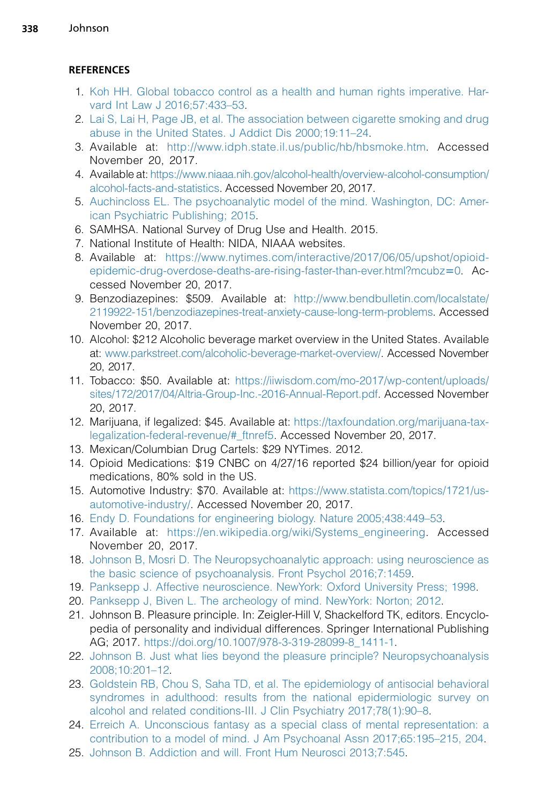# <span id="page-7-0"></span>**REFERENCES**

- 1. [Koh HH. Global tobacco control as a health and human rights imperative. Har](http://refhub.elsevier.com/S0193-953X(18)30011-X/sref1)[vard Int Law J 2016;57:433–53.](http://refhub.elsevier.com/S0193-953X(18)30011-X/sref1)
- 2. [Lai S, Lai H, Page JB, et al. The association between cigarette smoking and drug](http://refhub.elsevier.com/S0193-953X(18)30011-X/sref2) [abuse in the United States. J Addict Dis 2000;19:11–24](http://refhub.elsevier.com/S0193-953X(18)30011-X/sref2).
- 3. Available at: <http://www.idph.state.il.us/public/hb/hbsmoke.htm>. Accessed November 20, 2017.
- 4. Available at: [https://www.niaaa.nih.gov/alcohol-health/overview-alcohol-consumption/](https://www.niaaa.nih.gov/alcohol-health/overview-alcohol-consumption/alcohol-facts-and-statistics) [alcohol-facts-and-statistics.](https://www.niaaa.nih.gov/alcohol-health/overview-alcohol-consumption/alcohol-facts-and-statistics) Accessed November 20, 2017.
- 5. [Auchincloss EL. The psychoanalytic model of the mind. Washington, DC: Amer](http://refhub.elsevier.com/S0193-953X(18)30011-X/sref5)[ican Psychiatric Publishing; 2015.](http://refhub.elsevier.com/S0193-953X(18)30011-X/sref5)
- 6. SAMHSA. National Survey of Drug Use and Health. 2015.
- 7. National Institute of Health: NIDA, NIAAA websites.
- 8. Available at: [https://www.nytimes.com/interactive/2017/06/05/upshot/opioid](https://www.nytimes.com/interactive/2017/06/05/upshot/opioid-epidemic-drug-overdose-deaths-are-rising-faster-than-ever.html?mcubz=0)[epidemic-drug-overdose-deaths-are-rising-faster-than-ever.html?mcubz](https://www.nytimes.com/interactive/2017/06/05/upshot/opioid-epidemic-drug-overdose-deaths-are-rising-faster-than-ever.html?mcubz=0)=0. Accessed November 20, 2017.
- 9. Benzodiazepines: \$509. Available at: [http://www.bendbulletin.com/localstate/](http://www.bendbulletin.com/localstate/2119922-151/benzodiazepines-treat-anxiety-cause-long-term-problems) [2119922-151/benzodiazepines-treat-anxiety-cause-long-term-problems.](http://www.bendbulletin.com/localstate/2119922-151/benzodiazepines-treat-anxiety-cause-long-term-problems) Accessed November 20, 2017.
- 10. Alcohol: \$212 Alcoholic beverage market overview in the United States. Available at: [www.parkstreet.com/alcoholic-beverage-market-overview/.](http://www.parkstreet.com/alcoholic-beverage-market-overview/) Accessed November 20, 2017.
- 11. Tobacco: \$50. Available at: [https://iiwisdom.com/mo-2017/wp-content/uploads/](https://iiwisdom.com/mo-2017/wp-content/uploads/sites/172/2017/04/Altria-Group-Inc.-2016-Annual-Report.pdf) [sites/172/2017/04/Altria-Group-Inc.-2016-Annual-Report.pdf.](https://iiwisdom.com/mo-2017/wp-content/uploads/sites/172/2017/04/Altria-Group-Inc.-2016-Annual-Report.pdf) Accessed November 20, 2017.
- 12. Marijuana, if legalized: \$45. Available at: [https://taxfoundation.org/marijuana-tax](https://taxfoundation.org/marijuana-tax-legalization-federal-revenue/#_ftnref5)[legalization-federal-revenue/#\\_ftnref5.](https://taxfoundation.org/marijuana-tax-legalization-federal-revenue/#_ftnref5) Accessed November 20, 2017.
- 13. Mexican/Columbian Drug Cartels: \$29 NYTimes. 2012.
- 14. Opioid Medications: \$19 CNBC on 4/27/16 reported \$24 billion/year for opioid medications, 80% sold in the US.
- 15. Automotive Industry: \$70. Available at: [https://www.statista.com/topics/1721/us](https://www.statista.com/topics/1721/us-automotive-industry/)[automotive-industry/](https://www.statista.com/topics/1721/us-automotive-industry/). Accessed November 20, 2017.
- 16. [Endy D. Foundations for engineering biology. Nature 2005;438:449–53](http://refhub.elsevier.com/S0193-953X(18)30011-X/sref16).
- 17. Available at: [https://en.wikipedia.org/wiki/Systems\\_engineering](https://en.wikipedia.org/wiki/Systems_engineering). Accessed November 20, 2017.
- 18. [Johnson B, Mosri D. The Neuropsychoanalytic approach: using neuroscience as](http://refhub.elsevier.com/S0193-953X(18)30011-X/sref18) [the basic science of psychoanalysis. Front Psychol 2016;7:1459](http://refhub.elsevier.com/S0193-953X(18)30011-X/sref18).
- 19. [Panksepp J. Affective neuroscience. NewYork: Oxford University Press; 1998](http://refhub.elsevier.com/S0193-953X(18)30011-X/sref19).
- 20. [Panksepp J, Biven L. The archeology of mind. NewYork: Norton; 2012](http://refhub.elsevier.com/S0193-953X(18)30011-X/sref20).
- 21. Johnson B. Pleasure principle. In: Zeigler-Hill V, Shackelford TK, editors. Encyclopedia of personality and individual differences. Springer International Publishing AG; 2017. [https://doi.org/10.1007/978-3-319-28099-8\\_1411-1.](https://doi.org/10.1007/978-3-319-28099-8_1411-1)
- 22. [Johnson B. Just what lies beyond the pleasure principle? Neuropsychoanalysis](http://refhub.elsevier.com/S0193-953X(18)30011-X/sref22) [2008;10:201–12](http://refhub.elsevier.com/S0193-953X(18)30011-X/sref22).
- 23. [Goldstein RB, Chou S, Saha TD, et al. The epidemiology of antisocial behavioral](http://refhub.elsevier.com/S0193-953X(18)30011-X/sref23) [syndromes in adulthood: results from the national epidermiologic survey on](http://refhub.elsevier.com/S0193-953X(18)30011-X/sref23) [alcohol and related conditions-III. J Clin Psychiatry 2017;78\(1\):90–8](http://refhub.elsevier.com/S0193-953X(18)30011-X/sref23).
- 24. [Erreich A. Unconscious fantasy as a special class of mental representation: a](http://refhub.elsevier.com/S0193-953X(18)30011-X/sref24) [contribution to a model of mind. J Am Psychoanal Assn 2017;65:195–215, 204.](http://refhub.elsevier.com/S0193-953X(18)30011-X/sref24)
- 25. [Johnson B. Addiction and will. Front Hum Neurosci 2013;7:545](http://refhub.elsevier.com/S0193-953X(18)30011-X/sref25).